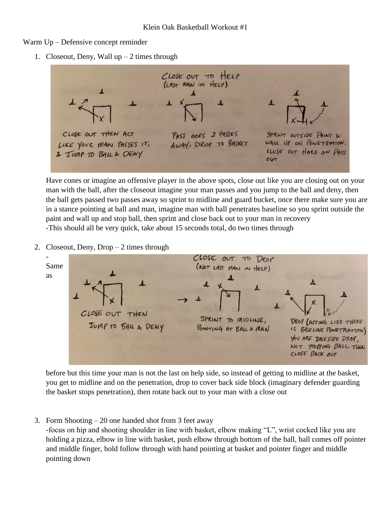Warm Up – Defensive concept reminder

1. Closeout, Deny, Wall  $up-2$  times through



Have cones or imagine an offensive player in the above spots, close out like you are closing out on your man with the ball, after the closeout imagine your man passes and you jump to the ball and deny, then the ball gets passed two passes away so sprint to midline and guard bucket, once there make sure you are in a stance pointing at ball and man, imagine man with ball penetrates baseline so you sprint outside the paint and wall up and stop ball, then sprint and close back out to your man in recovery -This should all be very quick, take about 15 seconds total, do two times through

2. Closeout, Deny, Drop – 2 times through



before but this time your man is not the last on help side, so instead of getting to midline at the basket, you get to midline and on the penetration, drop to cover back side block (imaginary defender guarding the basket stops penetration), then rotate back out to your man with a close out

3. Form Shooting – 20 one handed shot from 3 feet away

-focus on hip and shooting shoulder in line with basket, elbow making "L", wrist cocked like you are holding a pizza, elbow in line with basket, push elbow through bottom of the ball, ball comes off pointer and middle finger, hold follow through with hand pointing at basket and pointer finger and middle pointing down